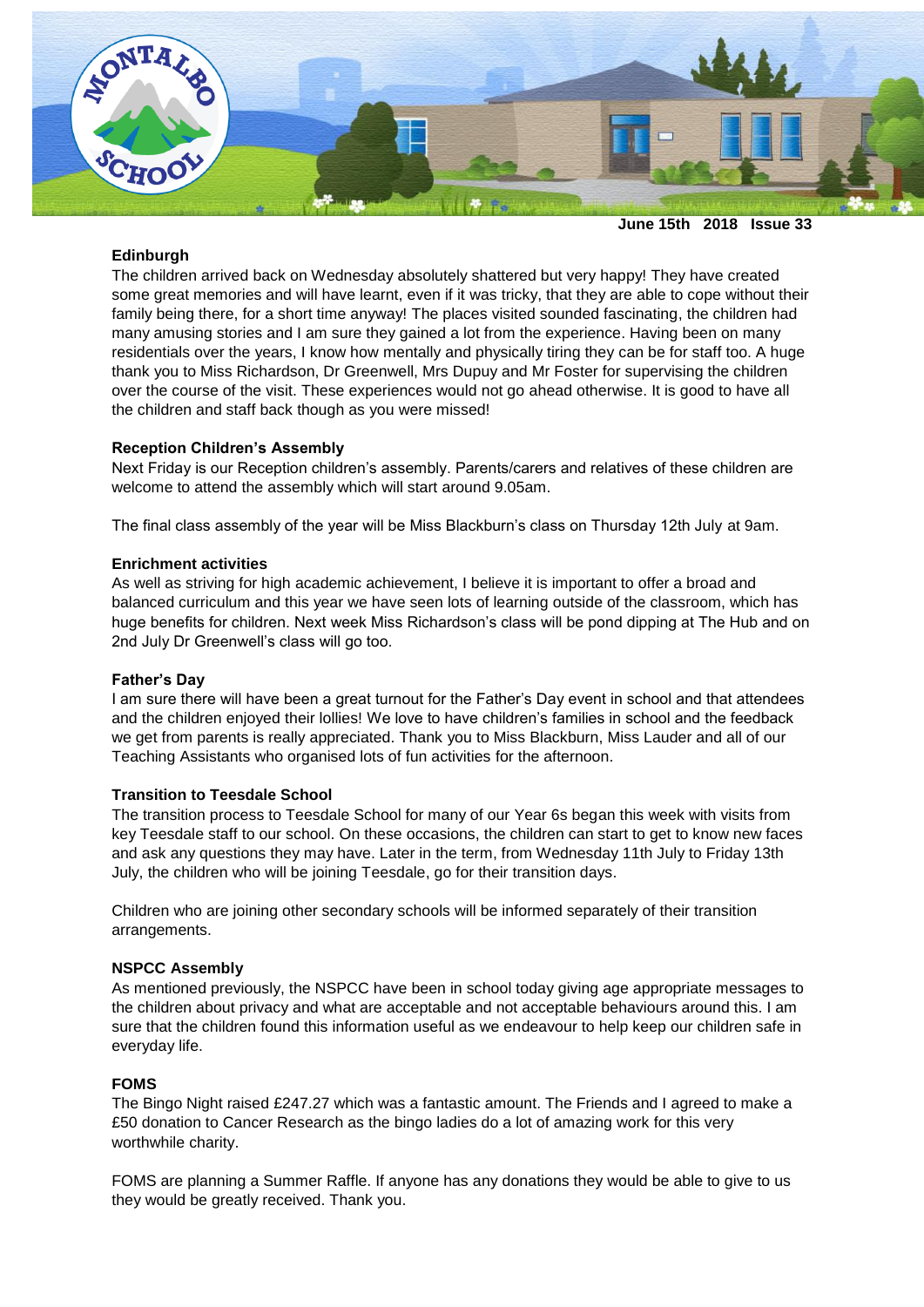

**June 15th 2018 Issue 33**

# **Edinburgh**

The children arrived back on Wednesday absolutely shattered but very happy! They have created some great memories and will have learnt, even if it was tricky, that they are able to cope without their family being there, for a short time anyway! The places visited sounded fascinating, the children had many amusing stories and I am sure they gained a lot from the experience. Having been on many residentials over the years, I know how mentally and physically tiring they can be for staff too. A huge thank you to Miss Richardson, Dr Greenwell, Mrs Dupuy and Mr Foster for supervising the children over the course of the visit. These experiences would not go ahead otherwise. It is good to have all the children and staff back though as you were missed!

# **Reception Children's Assembly**

Next Friday is our Reception children's assembly. Parents/carers and relatives of these children are welcome to attend the assembly which will start around 9.05am.

The final class assembly of the year will be Miss Blackburn's class on Thursday 12th July at 9am.

## **Enrichment activities**

As well as striving for high academic achievement, I believe it is important to offer a broad and balanced curriculum and this year we have seen lots of learning outside of the classroom, which has huge benefits for children. Next week Miss Richardson's class will be pond dipping at The Hub and on 2nd July Dr Greenwell's class will go too.

## **Father's Day**

I am sure there will have been a great turnout for the Father's Day event in school and that attendees and the children enjoyed their lollies! We love to have children's families in school and the feedback we get from parents is really appreciated. Thank you to Miss Blackburn, Miss Lauder and all of our Teaching Assistants who organised lots of fun activities for the afternoon.

## **Transition to Teesdale School**

The transition process to Teesdale School for many of our Year 6s began this week with visits from key Teesdale staff to our school. On these occasions, the children can start to get to know new faces and ask any questions they may have. Later in the term, from Wednesday 11th July to Friday 13th July, the children who will be joining Teesdale, go for their transition days.

Children who are joining other secondary schools will be informed separately of their transition arrangements.

## **NSPCC Assembly**

As mentioned previously, the NSPCC have been in school today giving age appropriate messages to the children about privacy and what are acceptable and not acceptable behaviours around this. I am sure that the children found this information useful as we endeavour to help keep our children safe in everyday life.

## **FOMS**

The Bingo Night raised £247.27 which was a fantastic amount. The Friends and I agreed to make a £50 donation to Cancer Research as the bingo ladies do a lot of amazing work for this very worthwhile charity.

FOMS are planning a Summer Raffle. If anyone has any donations they would be able to give to us they would be greatly received. Thank you.